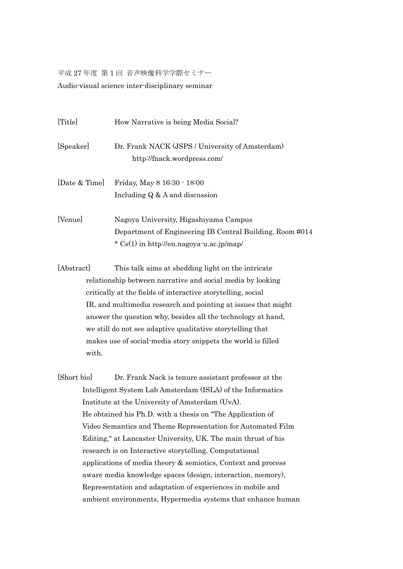平成 27 年度 第 1 回 音声映像科学学際セミナー Audio-visual science inter-disciplinary seminar

| [Title]       | How Narrative is being Media Social?                                                                                                                |
|---------------|-----------------------------------------------------------------------------------------------------------------------------------------------------|
| [Speaker]     | Dr. Frank NACK (JSPS / University of Amsterdam)<br>http://fnack.wordpress.com/                                                                      |
| [Date & Time] | Friday, May 8 16:30 - 18:00<br>Including $Q \& A$ and discussion                                                                                    |
| [Venue]       | Nagoya University, Higashiyama Campus<br>Department of Engineering IB Central Building, Room #014<br>$\star$ Cs(1) in http://en.nagoya-u.ac.jp/map/ |

[Abstract] This talk aims at shedding light on the intricate relationship between narrative and social media by looking critically at the fields of interactive storytelling, social IR, and multimedia research and pointing at issues that might answer the question why, besides all the technology at hand, we still do not see adaptive qualitative storytelling that makes use of social-media story snippets the world is filled with.

[Short bio] Dr. Frank Nack is tenure assistant professor at the Intelligent System Lab Amsterdam (ISLA) of the Informatics Institute at the University of Amsterdam (UvA). He obtained his Ph.D. with a thesis on "The Application of Video Semantics and Theme Representation for Automated Film Editing," at Lancaster University, UK. The main thrust of his research is on Interactive storytelling, Computational applications of media theory & semiotics, Context and process aware media knowledge spaces (design, interaction, memory), Representation and adaptation of experiences in mobile and ambient environments, Hypermedia systems that enhance human